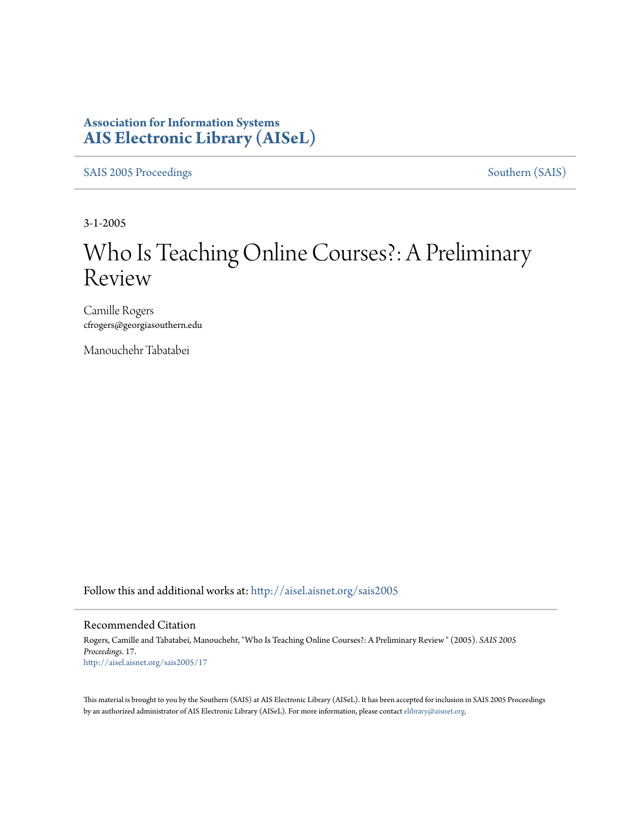### **Association for Information Systems [AIS Electronic Library \(AISeL\)](http://aisel.aisnet.org?utm_source=aisel.aisnet.org%2Fsais2005%2F17&utm_medium=PDF&utm_campaign=PDFCoverPages)**

[SAIS 2005 Proceedings](http://aisel.aisnet.org/sais2005?utm_source=aisel.aisnet.org%2Fsais2005%2F17&utm_medium=PDF&utm_campaign=PDFCoverPages) [Southern \(SAIS\)](http://aisel.aisnet.org/sais?utm_source=aisel.aisnet.org%2Fsais2005%2F17&utm_medium=PDF&utm_campaign=PDFCoverPages)

3-1-2005

# Who Is Teaching Online Courses?: A Preliminary Review

Camille Rogers cfrogers@georgiasouthern.edu

Manouchehr Tabatabei

Follow this and additional works at: [http://aisel.aisnet.org/sais2005](http://aisel.aisnet.org/sais2005?utm_source=aisel.aisnet.org%2Fsais2005%2F17&utm_medium=PDF&utm_campaign=PDFCoverPages)

#### Recommended Citation

Rogers, Camille and Tabatabei, Manouchehr, "Who Is Teaching Online Courses?: A Preliminary Review " (2005). *SAIS 2005 Proceedings*. 17. [http://aisel.aisnet.org/sais2005/17](http://aisel.aisnet.org/sais2005/17?utm_source=aisel.aisnet.org%2Fsais2005%2F17&utm_medium=PDF&utm_campaign=PDFCoverPages)

This material is brought to you by the Southern (SAIS) at AIS Electronic Library (AISeL). It has been accepted for inclusion in SAIS 2005 Proceedings by an authorized administrator of AIS Electronic Library (AISeL). For more information, please contact [elibrary@aisnet.org](mailto:elibrary@aisnet.org%3E).